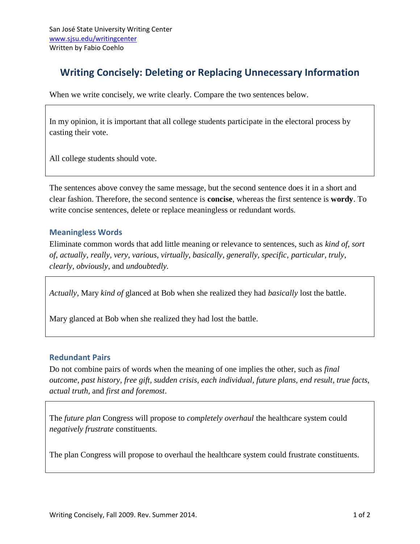# **Writing Concisely: Deleting or Replacing Unnecessary Information**

When we write concisely, we write clearly. Compare the two sentences below.

In my opinion, it is important that all college students participate in the electoral process by casting their vote.

All college students should vote.

The sentences above convey the same message, but the second sentence does it in a short and clear fashion. Therefore, the second sentence is **concise**, whereas the first sentence is **wordy**. To write concise sentences, delete or replace meaningless or redundant words.

### **Meaningless Words**

Eliminate common words that add little meaning or relevance to sentences, such as *kind of, sort of, actually, really, very, various, virtually, basically, generally, specific, particular, truly, clearly, obviously*, and *undoubtedly.*

*Actually*, Mary *kind of* glanced at Bob when she realized they had *basically* lost the battle.

Mary glanced at Bob when she realized they had lost the battle.

#### **Redundant Pairs**

Do not combine pairs of words when the meaning of one implies the other, such as *final outcome, past history, free gift, sudden crisis, each individual, future plans, end result, true facts, actual truth,* and *first and foremost*.

The *future plan* Congress will propose to *completely overhaul* the healthcare system could *negatively frustrate* constituents.

The plan Congress will propose to overhaul the healthcare system could frustrate constituents.